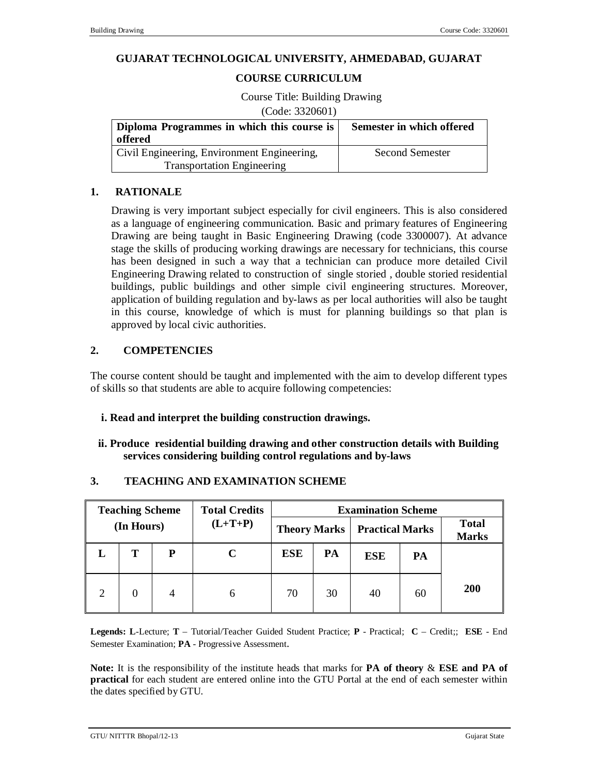### **GUJARAT TECHNOLOGICAL UNIVERSITY, AHMEDABAD, GUJARAT**

### **COURSE CURRICULUM**

Course Title: Building Drawing

(Code: 3320601)

| Diploma Programmes in which this course is<br>offered | Semester in which offered |  |  |
|-------------------------------------------------------|---------------------------|--|--|
| Civil Engineering, Environment Engineering,           | <b>Second Semester</b>    |  |  |
| <b>Transportation Engineering</b>                     |                           |  |  |

### **1. RATIONALE**

Drawing is very important subject especially for civil engineers. This is also considered as a language of engineering communication. Basic and primary features of Engineering Drawing are being taught in Basic Engineering Drawing (code 3300007). At advance stage the skills of producing working drawings are necessary for technicians, this course has been designed in such a way that a technician can produce more detailed Civil Engineering Drawing related to construction of single storied , double storied residential buildings, public buildings and other simple civil engineering structures. Moreover, application of building regulation and by-laws as per local authorities will also be taught in this course, knowledge of which is must for planning buildings so that plan is approved by local civic authorities.

### **2. COMPETENCIES**

The course content should be taught and implemented with the aim to develop different types of skills so that students are able to acquire following competencies:

#### **i. Read and interpret the building construction drawings.**

### **ii. Produce residential building drawing and other construction details with Building services considering building control regulations and by-laws**

| <b>Total</b><br><b>Marks</b> | <b>Examination Scheme</b><br><b>Practical Marks</b><br><b>Theory Marks</b> |            |    |            | <b>Total Credits</b><br>$(L+T+P)$ | <b>Teaching Scheme</b><br>(In Hours) |   |  |
|------------------------------|----------------------------------------------------------------------------|------------|----|------------|-----------------------------------|--------------------------------------|---|--|
|                              | PA                                                                         | <b>ESE</b> | PA | <b>ESE</b> |                                   | P                                    | т |  |
| 200                          | 60                                                                         | 40         | 30 | 70         | 6                                 | 4                                    |   |  |

### **3. TEACHING AND EXAMINATION SCHEME**

**Legends: L**-Lecture; **T** – Tutorial/Teacher Guided Student Practice; **P** - Practical; **C** – Credit;; **ESE** - End Semester Examination; **PA** - Progressive Assessment.

**Note:** It is the responsibility of the institute heads that marks for **PA of theory** & **ESE and PA of practical** for each student are entered online into the GTU Portal at the end of each semester within the dates specified by GTU.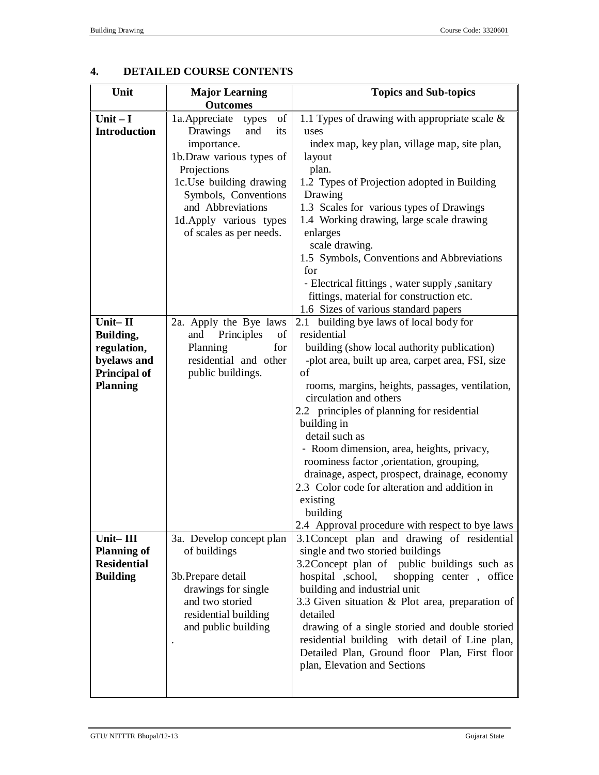# **4. DETAILED COURSE CONTENTS**

| Unit                                                                                         | <b>Major Learning</b>                                                                                                                                                                | <b>Topics and Sub-topics</b>                                                                                                                                                                                                                                                                                                                                                                                                                                                                                                                                                                       |
|----------------------------------------------------------------------------------------------|--------------------------------------------------------------------------------------------------------------------------------------------------------------------------------------|----------------------------------------------------------------------------------------------------------------------------------------------------------------------------------------------------------------------------------------------------------------------------------------------------------------------------------------------------------------------------------------------------------------------------------------------------------------------------------------------------------------------------------------------------------------------------------------------------|
|                                                                                              | <b>Outcomes</b>                                                                                                                                                                      |                                                                                                                                                                                                                                                                                                                                                                                                                                                                                                                                                                                                    |
| Unit $-I$<br><b>Introduction</b>                                                             | of<br>1a. Appreciate<br>types<br>Drawings<br>its<br>and                                                                                                                              | 1.1 Types of drawing with appropriate scale $\&$<br>uses                                                                                                                                                                                                                                                                                                                                                                                                                                                                                                                                           |
|                                                                                              | importance.<br>1b. Draw various types of<br>Projections<br>1c.Use building drawing<br>Symbols, Conventions<br>and Abbreviations<br>1d.Apply various types<br>of scales as per needs. | index map, key plan, village map, site plan,<br>layout<br>plan.<br>1.2 Types of Projection adopted in Building<br>Drawing<br>1.3 Scales for various types of Drawings<br>1.4 Working drawing, large scale drawing<br>enlarges<br>scale drawing.<br>1.5 Symbols, Conventions and Abbreviations<br>for<br>- Electrical fittings, water supply, sanitary                                                                                                                                                                                                                                              |
|                                                                                              |                                                                                                                                                                                      | fittings, material for construction etc.<br>1.6 Sizes of various standard papers                                                                                                                                                                                                                                                                                                                                                                                                                                                                                                                   |
| Unit-II<br>Building,<br>regulation,<br>byelaws and<br><b>Principal of</b><br><b>Planning</b> | 2a. Apply the Bye laws<br>Principles<br>of<br>and<br>Planning<br>for<br>residential and other<br>public buildings.                                                                   | 2.1 building bye laws of local body for<br>residential<br>building (show local authority publication)<br>-plot area, built up area, carpet area, FSI, size<br>of<br>rooms, margins, heights, passages, ventilation,<br>circulation and others<br>2.2 principles of planning for residential<br>building in<br>detail such as<br>- Room dimension, area, heights, privacy,<br>roominess factor ,orientation, grouping,<br>drainage, aspect, prospect, drainage, economy<br>2.3 Color code for alteration and addition in<br>existing<br>building<br>2.4 Approval procedure with respect to bye laws |
| Unit-III<br><b>Planning of</b><br><b>Residential</b><br><b>Building</b>                      | 3a. Develop concept plan<br>of buildings<br>3b. Prepare detail<br>drawings for single<br>and two storied<br>residential building<br>and public building                              | 3.1 Concept plan and drawing of residential<br>single and two storied buildings<br>3.2 Concept plan of public buildings such as<br>hospital ,school,<br>shopping center, office<br>building and industrial unit<br>3.3 Given situation & Plot area, preparation of<br>detailed<br>drawing of a single storied and double storied<br>residential building with detail of Line plan,<br>Detailed Plan, Ground floor Plan, First floor<br>plan, Elevation and Sections                                                                                                                                |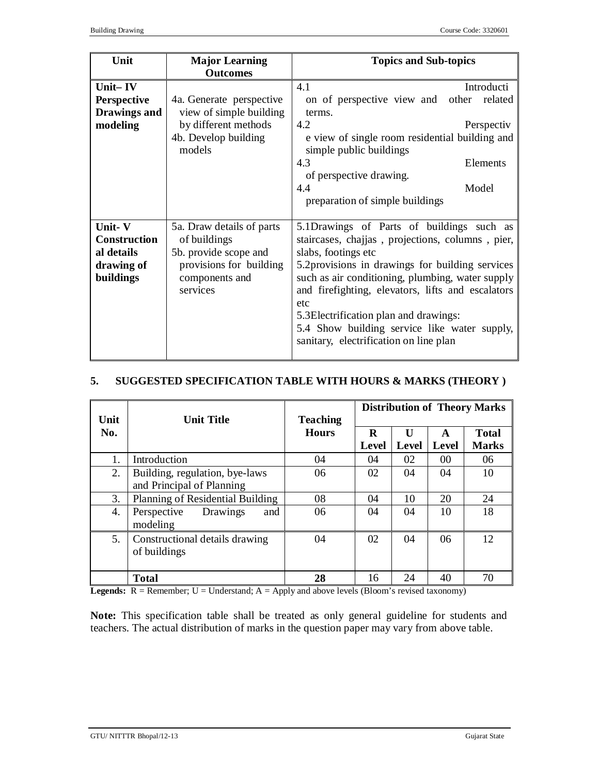| Unit                | <b>Major Learning</b>          | <b>Topics and Sub-topics</b>                                              |
|---------------------|--------------------------------|---------------------------------------------------------------------------|
|                     | <b>Outcomes</b>                |                                                                           |
| Unit-IV             |                                | 4.1<br>Introducti                                                         |
| <b>Perspective</b>  | 4a. Generate perspective       | on of perspective view and<br>other related                               |
| Drawings and        | view of simple building        | terms.                                                                    |
| modeling            | by different methods           | 4.2<br>Perspectiv                                                         |
|                     | 4b. Develop building<br>models | e view of single room residential building and<br>simple public buildings |
|                     |                                | 4.3<br>Elements                                                           |
|                     |                                | of perspective drawing.                                                   |
|                     |                                | 4.4<br>Model                                                              |
|                     |                                | preparation of simple buildings                                           |
|                     |                                |                                                                           |
| Unit-V              | 5a. Draw details of parts      | 5.1Drawings of Parts of buildings such as                                 |
| <b>Construction</b> | of buildings                   | staircases, chajjas, projections, columns, pier,                          |
| al details          | 5b. provide scope and          | slabs, footings etc                                                       |
| drawing of          | provisions for building        | 5.2 provisions in drawings for building services                          |
| buildings           | components and                 | such as air conditioning, plumbing, water supply                          |
|                     | services                       | and firefighting, elevators, lifts and escalators                         |
|                     |                                | etc                                                                       |
|                     |                                | 5.3 Electrification plan and drawings:                                    |
|                     |                                | 5.4 Show building service like water supply,                              |
|                     |                                | sanitary, electrification on line plan                                    |
|                     |                                |                                                                           |

## **5. SUGGESTED SPECIFICATION TABLE WITH HOURS & MARKS (THEORY )**

| Unit | <b>Unit Title</b>                | <b>Teaching</b> | <b>Distribution of Theory Marks</b> |                       |                   |                              |
|------|----------------------------------|-----------------|-------------------------------------|-----------------------|-------------------|------------------------------|
| No.  |                                  | <b>Hours</b>    | $\bf{R}$<br><b>Level</b>            | $\mathbf{I}$<br>Level | A<br><b>Level</b> | <b>Total</b><br><b>Marks</b> |
| 1.   | Introduction                     | 04              | 04                                  | 02                    | 0 <sup>0</sup>    | 06                           |
|      |                                  |                 |                                     |                       |                   |                              |
| 2.   | Building, regulation, bye-laws   | 06              | 02                                  | 04                    | 04                | 10                           |
|      | and Principal of Planning        |                 |                                     |                       |                   |                              |
| 3.   | Planning of Residential Building | 08              | 04                                  | 10                    | 20                | 24                           |
| 4.   | Perspective<br>Drawings<br>and   | 06              | 04                                  | 04                    | 10                | 18                           |
|      | modeling                         |                 |                                     |                       |                   |                              |
| 5.   | Constructional details drawing   | 04              | 02                                  | 04                    | 06                | 12                           |
|      | of buildings                     |                 |                                     |                       |                   |                              |
|      |                                  |                 |                                     |                       |                   |                              |
|      | <b>Total</b>                     | 28              | 16                                  | 24                    | 40                | 70                           |

**Legends:**  $R =$  Remember;  $U =$  Understand;  $A =$  Apply and above levels (Bloom's revised taxonomy)

**Note:** This specification table shall be treated as only general guideline for students and teachers. The actual distribution of marks in the question paper may vary from above table.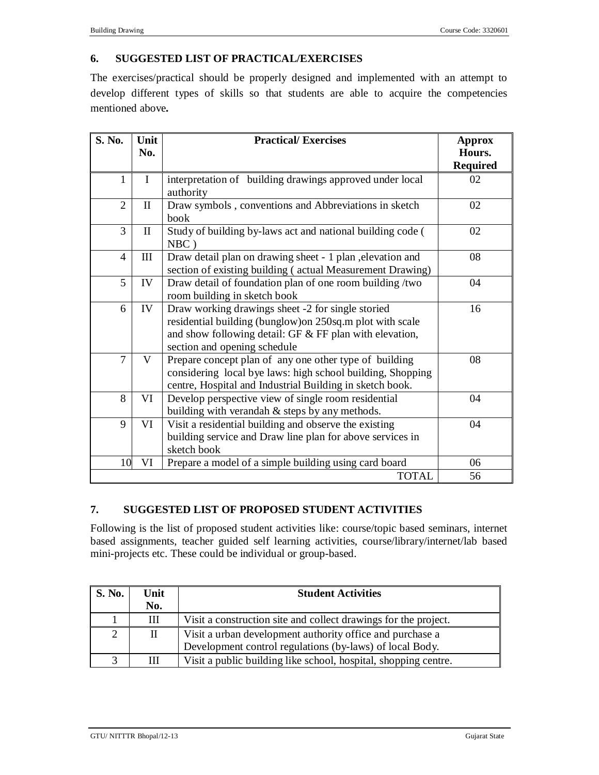# **6. SUGGESTED LIST OF PRACTICAL/EXERCISES**

The exercises/practical should be properly designed and implemented with an attempt to develop different types of skills so that students are able to acquire the competencies mentioned above*.*

| S. No.         | Unit<br>No.  | <b>Practical/Exercises</b>                                                                                                                                                                                  | <b>Approx</b><br>Hours. |
|----------------|--------------|-------------------------------------------------------------------------------------------------------------------------------------------------------------------------------------------------------------|-------------------------|
|                |              |                                                                                                                                                                                                             | <b>Required</b>         |
| $\mathbf{1}$   | $\mathbf I$  | interpretation of building drawings approved under local<br>authority                                                                                                                                       | 02                      |
| $\overline{2}$ | $\mathbf{I}$ | Draw symbols, conventions and Abbreviations in sketch<br>book                                                                                                                                               | 02                      |
| 3              | $\mathbf{I}$ | Study of building by-laws act and national building code (<br>$NBC$ )                                                                                                                                       | 02                      |
| $\overline{4}$ | Ш            | Draw detail plan on drawing sheet - 1 plan , elevation and<br>section of existing building (actual Measurement Drawing)                                                                                     | 08                      |
| 5              | IV           | Draw detail of foundation plan of one room building /two<br>room building in sketch book                                                                                                                    | 04                      |
| 6              | IV           | Draw working drawings sheet -2 for single storied<br>residential building (bunglow) on 250sq.m plot with scale<br>and show following detail: GF $&$ FF plan with elevation,<br>section and opening schedule | 16                      |
| $\overline{7}$ | V            | Prepare concept plan of any one other type of building<br>considering local bye laws: high school building, Shopping<br>centre, Hospital and Industrial Building in sketch book.                            | 08                      |
| 8              | VI           | Develop perspective view of single room residential<br>building with verandah & steps by any methods.                                                                                                       | 04                      |
| 9              | VI           | Visit a residential building and observe the existing<br>building service and Draw line plan for above services in<br>sketch book                                                                           | 04                      |
| 10             | VI           | Prepare a model of a simple building using card board                                                                                                                                                       | 06                      |
|                |              | <b>TOTAL</b>                                                                                                                                                                                                | 56                      |

# **7. SUGGESTED LIST OF PROPOSED STUDENT ACTIVITIES**

Following is the list of proposed student activities like: course/topic based seminars, internet based assignments, teacher guided self learning activities, course/library/internet/lab based mini-projects etc. These could be individual or group-based.

| <b>S. No.</b> | Unit | <b>Student Activities</b>                                       |  |  |
|---------------|------|-----------------------------------------------------------------|--|--|
|               | No.  |                                                                 |  |  |
|               | Ш    | Visit a construction site and collect drawings for the project. |  |  |
| 2             |      | Visit a urban development authority office and purchase a       |  |  |
|               |      | Development control regulations (by-laws) of local Body.        |  |  |
|               |      | Visit a public building like school, hospital, shopping centre. |  |  |